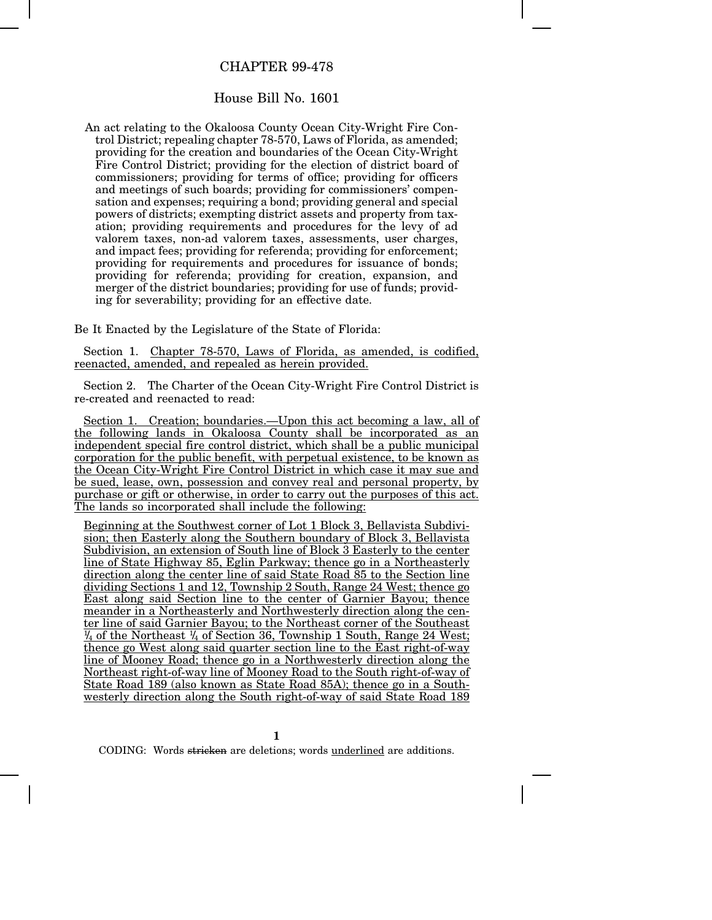## CHAPTER 99-478

## House Bill No. 1601

An act relating to the Okaloosa County Ocean City-Wright Fire Control District; repealing chapter 78-570, Laws of Florida, as amended: providing for the creation and boundaries of the Ocean City-Wright Fire Control District; providing for the election of district board of commissioners; providing for terms of office; providing for officers and meetings of such boards; providing for commissioners' compensation and expenses; requiring a bond; providing general and special powers of districts; exempting district assets and property from taxation; providing requirements and procedures for the levy of ad valorem taxes, non-ad valorem taxes, assessments, user charges, and impact fees; providing for referenda; providing for enforcement; providing for requirements and procedures for issuance of bonds; providing for referenda; providing for creation, expansion, and merger of the district boundaries; providing for use of funds; providing for severability; providing for an effective date.

Be It Enacted by the Legislature of the State of Florida:

Section 1. Chapter 78-570, Laws of Florida, as amended, is codified, reenacted, amended, and repealed as herein provided.

Section 2. The Charter of the Ocean City-Wright Fire Control District is re-created and reenacted to read:

Section 1. Creation; boundaries.—Upon this act becoming a law, all of the following lands in Okaloosa County shall be incorporated as an independent special fire control district, which shall be a public municipal corporation for the public benefit, with perpetual existence, to be known as the Ocean City-Wright Fire Control District in which case it may sue and be sued, lease, own, possession and convey real and personal property, by purchase or gift or otherwise, in order to carry out the purposes of this act. The lands so incorporated shall include the following:

Beginning at the Southwest corner of Lot 1 Block 3, Bellavista Subdivision; then Easterly along the Southern boundary of Block 3, Bellavista Subdivision, an extension of South line of Block 3 Easterly to the center line of State Highway 85, Eglin Parkway; thence go in a Northeasterly direction along the center line of said State Road 85 to the Section line dividing Sections 1 and 12, Township 2 South, Range 24 West; thence go East along said Section line to the center of Garnier Bayou; thence meander in a Northeasterly and Northwesterly direction along the center line of said Garnier Bayou; to the Northeast corner of the Southeast  $\frac{1}{4}$  of the Northeast  $\frac{1}{4}$  of Section 36, Township 1 South, Range 24 West; thence go West along said quarter section line to the East right-of-way line of Mooney Road; thence go in a Northwesterly direction along the Northeast right-of-way line of Mooney Road to the South right-of-way of State Road 189 (also known as State Road 85A); thence go in a Southwesterly direction along the South right-of-way of said State Road 189

**1**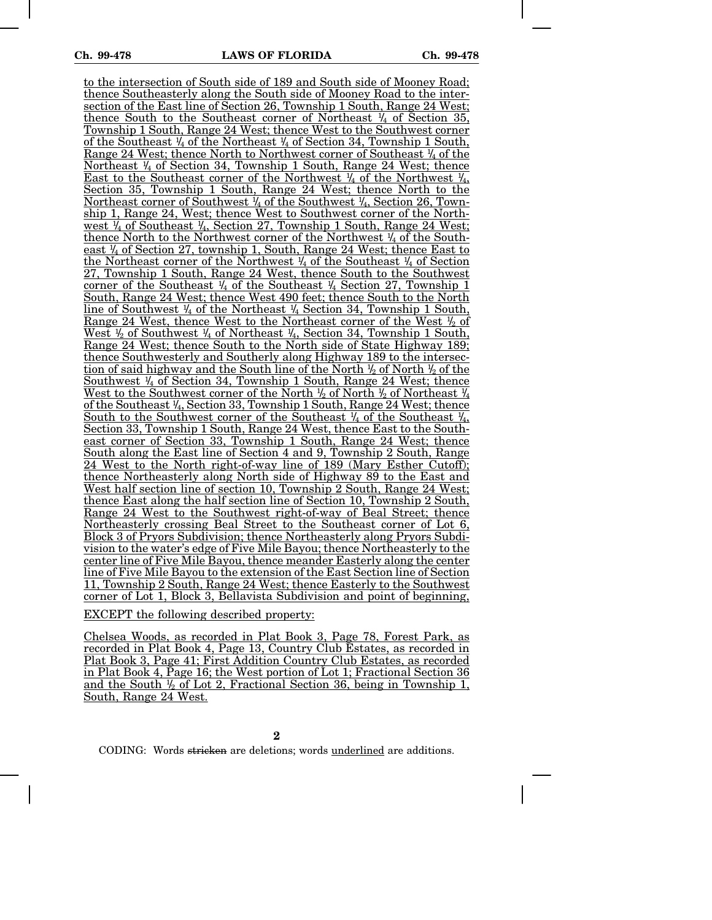to the intersection of South side of 189 and South side of Mooney Road; thence Southeasterly along the South side of Mooney Road to the intersection of the East line of Section 26, Township 1 South, Range 24 West; thence South to the Southeast corner of Northeast  $\frac{1}{4}$  of Section 35, Township 1 South, Range 24 West; thence West to the Southwest corner <u>of the Southeast  $\frac{1}{4}$  of the Northeast  $\frac{1}{4}$  of Section 34, Township 1 South,</u> <u>Range 24 West; thence North to Northwest corner of Southeast  $\frac{1}{4}$  of the</u> Northeast <sup>1</sup> /4 of Section 34, Township 1 South, Range 24 West; thence <u>East to the Southeast corner of the Northwest  $\frac{1}{4}$  of the Northwest  $\frac{1}{4}$ ,  $\frac{1}{4}$ ,  $\frac{1}{4}$ </u> Section 35, Township 1 South, Range 24 West; thence North to the Northeast corner of Southwest <sup>1</sup> /4 of the Southwest <sup>1</sup> /4, Section 26, Township 1, Range 24, West; thence West to Southwest corner of the North-<u>west ¼ of Southeast ¼, Section 27, Township 1 South, Range 24 West;</u> thence North to the Northwest corner of the Northwest <sup>1</sup> /4 of the Southeast <sup>1</sup> /4 of Section 27, township 1, South, Range 24 West; thence East to <u>the Northeast corner of the Northwest  $\frac{1}{4}$  of the Southeast  $\frac{1}{4}$  of Section</u> 27, Township 1 South, Range 24 West, thence South to the Southwest <u>corner of the Southeast ¼ of the Southeast ¼ Section 27, Township 1</u> South, Range 24 West; thence West 490 feet; thence South to the North line of Southwest 1/4 of the Northeast 1/4 Section 34, Township 1 South, <u>Range 24 West, thence West to the Northeast corner of the West  $\frac{1}{2}$  of</u> West  $\frac{1}{2}$  of Southwest  $\frac{1}{4}$  of Northeast  $\frac{1}{4}$ , Section 34, Township 1 South, Range 24 West; thence South to the North side of State Highway 189; thence Southwesterly and Southerly along Highway 189 to the intersec-<u>tion of said highway and the South line of the North  $\frac{1}{2}$  of North  $\frac{1}{2}$  of the </u> Southwest <sup>1</sup>/4 of Section 34, Township 1 South, Range 24 West; thence <u>West to the Southwest corner of the North  $\frac{1}{2}$  of North  $\frac{1}{2}$  of Northeast  $\frac{1}{4}$ </u> <u>of the Southeast ¼, Section 33, Township 1 South, Range 24 West; thence</u> <u>South to the Southwest corner of the Southeast  $\frac{1}{4}$  of the Southeast  $\frac{1}{4}$ , </u> Section 33, Township 1 South, Range 24 West, thence East to the Southeast corner of Section 33, Township 1 South, Range 24 West; thence South along the East line of Section 4 and 9, Township 2 South, Range 24 West to the North right-of-way line of 189 (Mary Esther Cutoff); thence Northeasterly along North side of Highway 89 to the East and West half section line of section 10, Township 2 South, Range 24 West; thence East along the half section line of Section 10, Township 2 South, Range 24 West to the Southwest right-of-way of Beal Street; thence Northeasterly crossing Beal Street to the Southeast corner of Lot 6, Block 3 of Pryors Subdivision; thence Northeasterly along Pryors Subdivision to the water's edge of Five Mile Bayou; thence Northeasterly to the center line of Five Mile Bayou, thence meander Easterly along the center line of Five Mile Bayou to the extension of the East Section line of Section 11, Township 2 South, Range 24 West; thence Easterly to the Southwest corner of Lot 1, Block 3, Bellavista Subdivision and point of beginning, EXCEPT the following described property:

Chelsea Woods, as recorded in Plat Book 3, Page 78, Forest Park, as recorded in Plat Book 4, Page 13, Country Club Estates, as recorded in Plat Book 3, Page 41; First Addition Country Club Estates, as recorded in Plat Book 4, Page 16; the West portion of Lot 1; Fractional Section 36 and the South  $\frac{1}{2}$  of Lot 2, Fractional Section 36, being in Township 1, South, Range 24 West.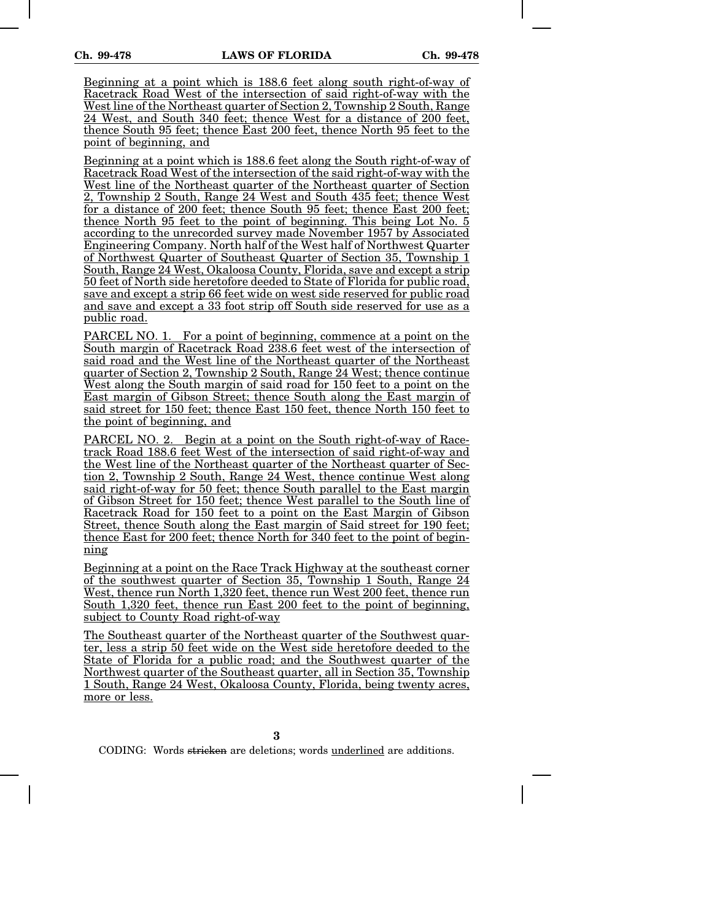Beginning at a point which is 188.6 feet along south right-of-way of Racetrack Road West of the intersection of said right-of-way with the West line of the Northeast quarter of Section 2, Township 2 South, Range 24 West, and South 340 feet; thence West for a distance of 200 feet, thence South 95 feet; thence East 200 feet, thence North 95 feet to the point of beginning, and

Beginning at a point which is 188.6 feet along the South right-of-way of Racetrack Road West of the intersection of the said right-of-way with the West line of the Northeast quarter of the Northeast quarter of Section 2, Township 2 South, Range 24 West and South 435 feet; thence West for a distance of 200 feet; thence South 95 feet; thence East 200 feet; thence North 95 feet to the point of beginning. This being Lot No. 5 according to the unrecorded survey made November 1957 by Associated Engineering Company. North half of the West half of Northwest Quarter of Northwest Quarter of Southeast Quarter of Section 35, Township 1 South, Range 24 West, Okaloosa County, Florida, save and except a strip 50 feet of North side heretofore deeded to State of Florida for public road, save and except a strip 66 feet wide on west side reserved for public road and save and except a 33 foot strip off South side reserved for use as a public road.

PARCEL NO. 1. For a point of beginning, commence at a point on the South margin of Racetrack Road 238.6 feet west of the intersection of said road and the West line of the Northeast quarter of the Northeast quarter of Section 2, Township 2 South, Range 24 West; thence continue West along the South margin of said road for 150 feet to a point on the East margin of Gibson Street; thence South along the East margin of said street for 150 feet; thence East 150 feet, thence North 150 feet to the point of beginning, and

PARCEL NO. 2. Begin at a point on the South right-of-way of Racetrack Road 188.6 feet West of the intersection of said right-of-way and the West line of the Northeast quarter of the Northeast quarter of Section 2, Township 2 South, Range 24 West, thence continue West along said right-of-way for 50 feet; thence South parallel to the East margin of Gibson Street for 150 feet; thence West parallel to the South line of Racetrack Road for 150 feet to a point on the East Margin of Gibson Street, thence South along the East margin of Said street for 190 feet; thence East for 200 feet; thence North for 340 feet to the point of beginning

Beginning at a point on the Race Track Highway at the southeast corner of the southwest quarter of Section 35, Township 1 South, Range 24 West, thence run North 1,320 feet, thence run West 200 feet, thence run South 1,320 feet, thence run East 200 feet to the point of beginning, subject to County Road right-of-way

The Southeast quarter of the Northeast quarter of the Southwest quarter, less a strip 50 feet wide on the West side heretofore deeded to the State of Florida for a public road; and the Southwest quarter of the Northwest quarter of the Southeast quarter, all in Section 35, Township 1 South, Range 24 West, Okaloosa County, Florida, being twenty acres, more or less.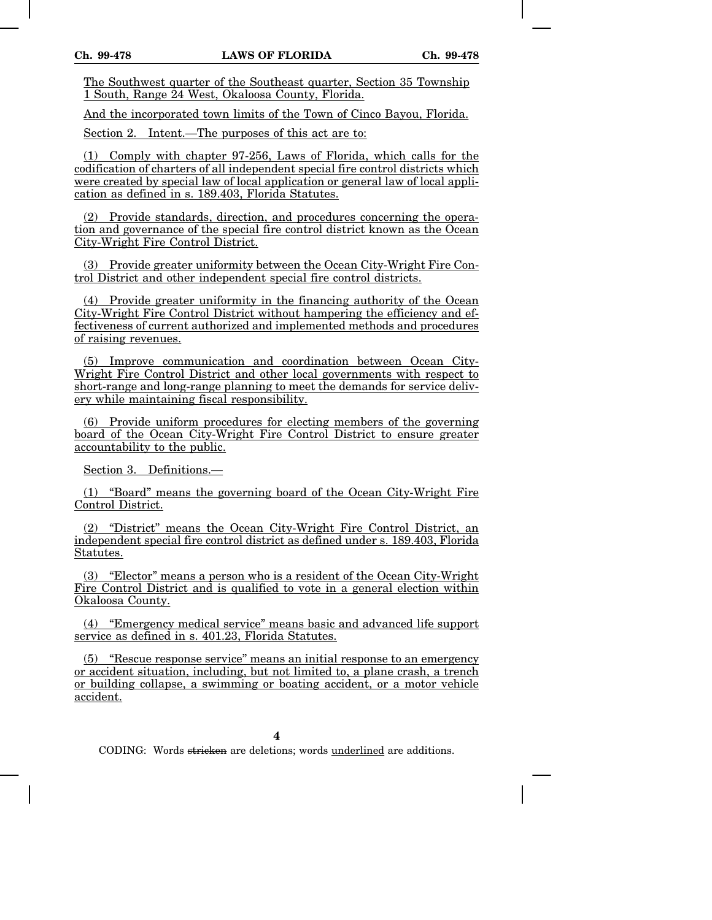The Southwest quarter of the Southeast quarter, Section 35 Township 1 South, Range 24 West, Okaloosa County, Florida.

And the incorporated town limits of the Town of Cinco Bayou, Florida.

Section 2. Intent.—The purposes of this act are to:

(1) Comply with chapter 97-256, Laws of Florida, which calls for the codification of charters of all independent special fire control districts which were created by special law of local application or general law of local application as defined in s. 189.403, Florida Statutes.

(2) Provide standards, direction, and procedures concerning the operation and governance of the special fire control district known as the Ocean City-Wright Fire Control District.

(3) Provide greater uniformity between the Ocean City-Wright Fire Control District and other independent special fire control districts.

(4) Provide greater uniformity in the financing authority of the Ocean City-Wright Fire Control District without hampering the efficiency and effectiveness of current authorized and implemented methods and procedures of raising revenues.

(5) Improve communication and coordination between Ocean City-Wright Fire Control District and other local governments with respect to short-range and long-range planning to meet the demands for service delivery while maintaining fiscal responsibility.

(6) Provide uniform procedures for electing members of the governing board of the Ocean City-Wright Fire Control District to ensure greater accountability to the public.

Section 3. Definitions.—

(1) "Board" means the governing board of the Ocean City-Wright Fire Control District.

(2) "District" means the Ocean City-Wright Fire Control District, an independent special fire control district as defined under s. 189.403, Florida Statutes.

(3) "Elector" means a person who is a resident of the Ocean City-Wright Fire Control District and is qualified to vote in a general election within Okaloosa County.

(4) "Emergency medical service" means basic and advanced life support service as defined in s. 401.23, Florida Statutes.

(5) "Rescue response service" means an initial response to an emergency or accident situation, including, but not limited to, a plane crash, a trench or building collapse, a swimming or boating accident, or a motor vehicle accident.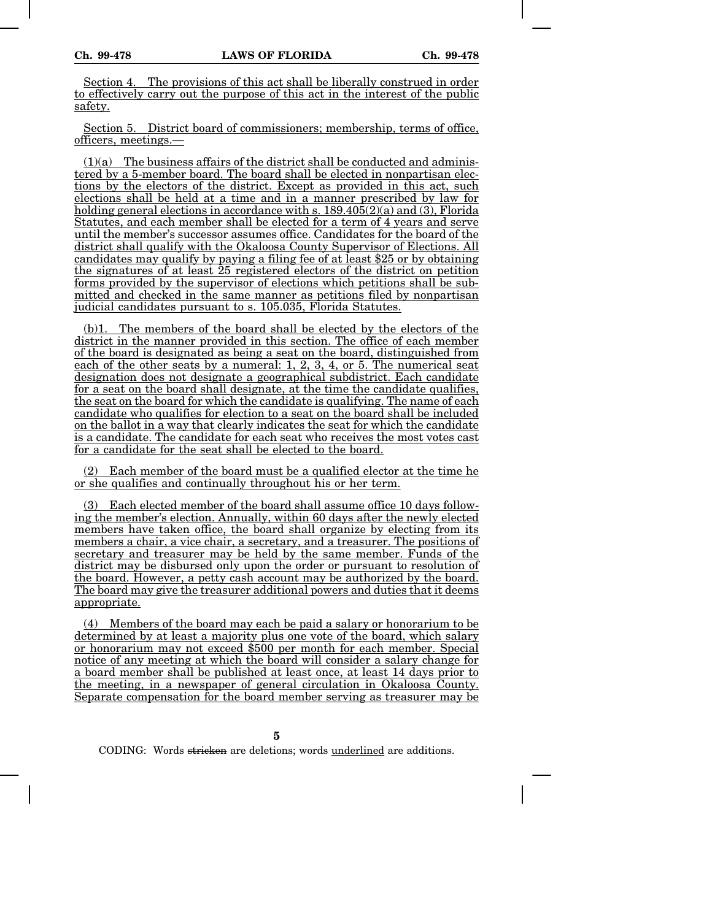Section 4. The provisions of this act shall be liberally construed in order to effectively carry out the purpose of this act in the interest of the public safety.

Section 5. District board of commissioners; membership, terms of office, officers, meetings.—

 $(1)(a)$  The business affairs of the district shall be conducted and administered by a 5-member board. The board shall be elected in nonpartisan elections by the electors of the district. Except as provided in this act, such elections shall be held at a time and in a manner prescribed by law for holding general elections in accordance with s.  $189.405(2)(a)$  and (3), Florida Statutes, and each member shall be elected for a term of 4 years and serve until the member's successor assumes office. Candidates for the board of the district shall qualify with the Okaloosa County Supervisor of Elections. All candidates may qualify by paying a filing fee of at least \$25 or by obtaining the signatures of at least 25 registered electors of the district on petition forms provided by the supervisor of elections which petitions shall be submitted and checked in the same manner as petitions filed by nonpartisan judicial candidates pursuant to s. 105.035, Florida Statutes.

(b)1. The members of the board shall be elected by the electors of the district in the manner provided in this section. The office of each member of the board is designated as being a seat on the board, distinguished from each of the other seats by a numeral: 1, 2, 3, 4, or 5. The numerical seat designation does not designate a geographical subdistrict. Each candidate for a seat on the board shall designate, at the time the candidate qualifies, the seat on the board for which the candidate is qualifying. The name of each candidate who qualifies for election to a seat on the board shall be included on the ballot in a way that clearly indicates the seat for which the candidate is a candidate. The candidate for each seat who receives the most votes cast for a candidate for the seat shall be elected to the board.

(2) Each member of the board must be a qualified elector at the time he or she qualifies and continually throughout his or her term.

Each elected member of the board shall assume office 10 days following the member's election. Annually, within 60 days after the newly elected members have taken office, the board shall organize by electing from its members a chair, a vice chair, a secretary, and a treasurer. The positions of secretary and treasurer may be held by the same member. Funds of the district may be disbursed only upon the order or pursuant to resolution of the board. However, a petty cash account may be authorized by the board. The board may give the treasurer additional powers and duties that it deems appropriate.

(4) Members of the board may each be paid a salary or honorarium to be determined by at least a majority plus one vote of the board, which salary or honorarium may not exceed \$500 per month for each member. Special notice of any meeting at which the board will consider a salary change for a board member shall be published at least once, at least 14 days prior to the meeting, in a newspaper of general circulation in Okaloosa County. Separate compensation for the board member serving as treasurer may be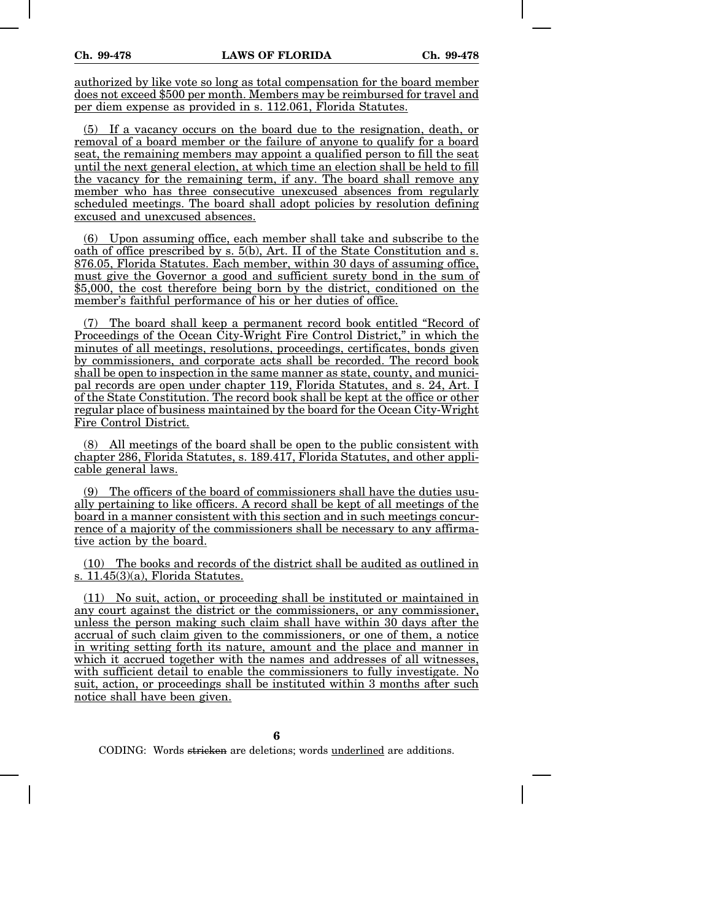authorized by like vote so long as total compensation for the board member does not exceed \$500 per month. Members may be reimbursed for travel and per diem expense as provided in s. 112.061, Florida Statutes.

(5) If a vacancy occurs on the board due to the resignation, death, or removal of a board member or the failure of anyone to qualify for a board seat, the remaining members may appoint a qualified person to fill the seat until the next general election, at which time an election shall be held to fill the vacancy for the remaining term, if any. The board shall remove any member who has three consecutive unexcused absences from regularly scheduled meetings. The board shall adopt policies by resolution defining excused and unexcused absences.

(6) Upon assuming office, each member shall take and subscribe to the oath of office prescribed by s. 5(b), Art. II of the State Constitution and s. 876.05, Florida Statutes. Each member, within 30 days of assuming office, must give the Governor a good and sufficient surety bond in the sum of \$5,000, the cost therefore being born by the district, conditioned on the member's faithful performance of his or her duties of office.

(7) The board shall keep a permanent record book entitled "Record of Proceedings of the Ocean City-Wright Fire Control District," in which the minutes of all meetings, resolutions, proceedings, certificates, bonds given by commissioners, and corporate acts shall be recorded. The record book shall be open to inspection in the same manner as state, county, and municipal records are open under chapter 119, Florida Statutes, and s. 24, Art. I of the State Constitution. The record book shall be kept at the office or other regular place of business maintained by the board for the Ocean City-Wright Fire Control District.

(8) All meetings of the board shall be open to the public consistent with chapter 286, Florida Statutes, s. 189.417, Florida Statutes, and other applicable general laws.

(9) The officers of the board of commissioners shall have the duties usually pertaining to like officers. A record shall be kept of all meetings of the board in a manner consistent with this section and in such meetings concurrence of a majority of the commissioners shall be necessary to any affirmative action by the board.

(10) The books and records of the district shall be audited as outlined in s. 11.45(3)(a), Florida Statutes.

(11) No suit, action, or proceeding shall be instituted or maintained in any court against the district or the commissioners, or any commissioner, unless the person making such claim shall have within 30 days after the accrual of such claim given to the commissioners, or one of them, a notice in writing setting forth its nature, amount and the place and manner in which it accrued together with the names and addresses of all witnesses, with sufficient detail to enable the commissioners to fully investigate. No suit, action, or proceedings shall be instituted within 3 months after such notice shall have been given.

**6**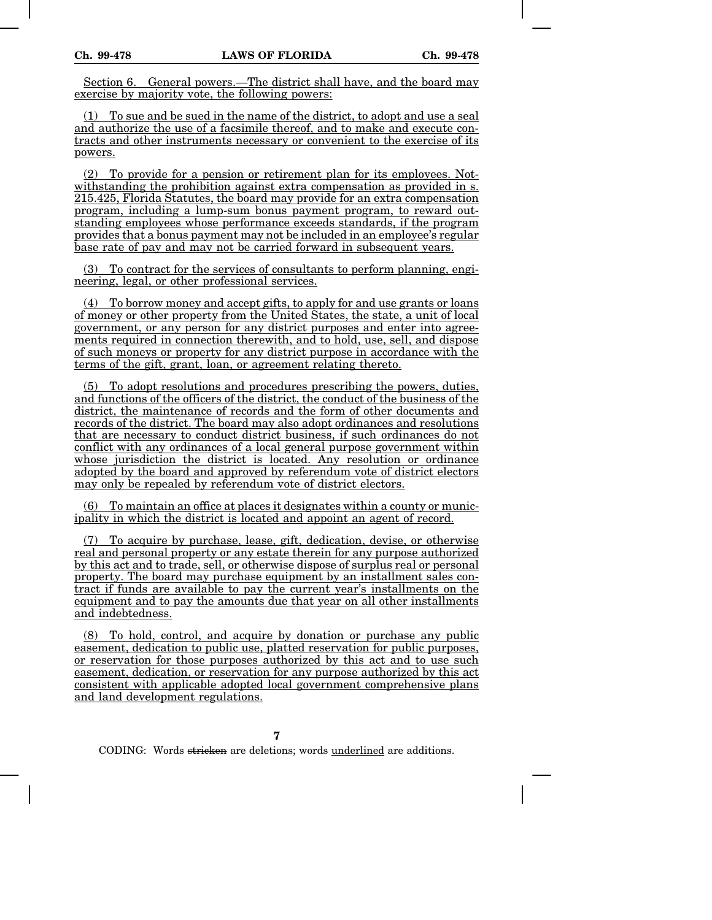Section 6. General powers.—The district shall have, and the board may exercise by majority vote, the following powers:

(1) To sue and be sued in the name of the district, to adopt and use a seal and authorize the use of a facsimile thereof, and to make and execute contracts and other instruments necessary or convenient to the exercise of its powers.

(2) To provide for a pension or retirement plan for its employees. Notwithstanding the prohibition against extra compensation as provided in s. 215.425, Florida Statutes, the board may provide for an extra compensation program, including a lump-sum bonus payment program, to reward outstanding employees whose performance exceeds standards, if the program provides that a bonus payment may not be included in an employee's regular base rate of pay and may not be carried forward in subsequent years.

(3) To contract for the services of consultants to perform planning, engineering, legal, or other professional services.

(4) To borrow money and accept gifts, to apply for and use grants or loans of money or other property from the United States, the state, a unit of local government, or any person for any district purposes and enter into agreements required in connection therewith, and to hold, use, sell, and dispose of such moneys or property for any district purpose in accordance with the terms of the gift, grant, loan, or agreement relating thereto.

(5) To adopt resolutions and procedures prescribing the powers, duties, and functions of the officers of the district, the conduct of the business of the district, the maintenance of records and the form of other documents and records of the district. The board may also adopt ordinances and resolutions that are necessary to conduct district business, if such ordinances do not conflict with any ordinances of a local general purpose government within whose jurisdiction the district is located. Any resolution or ordinance adopted by the board and approved by referendum vote of district electors may only be repealed by referendum vote of district electors.

(6) To maintain an office at places it designates within a county or municipality in which the district is located and appoint an agent of record.

(7) To acquire by purchase, lease, gift, dedication, devise, or otherwise real and personal property or any estate therein for any purpose authorized by this act and to trade, sell, or otherwise dispose of surplus real or personal property. The board may purchase equipment by an installment sales contract if funds are available to pay the current year's installments on the equipment and to pay the amounts due that year on all other installments and indebtedness.

(8) To hold, control, and acquire by donation or purchase any public easement, dedication to public use, platted reservation for public purposes, or reservation for those purposes authorized by this act and to use such easement, dedication, or reservation for any purpose authorized by this act consistent with applicable adopted local government comprehensive plans and land development regulations.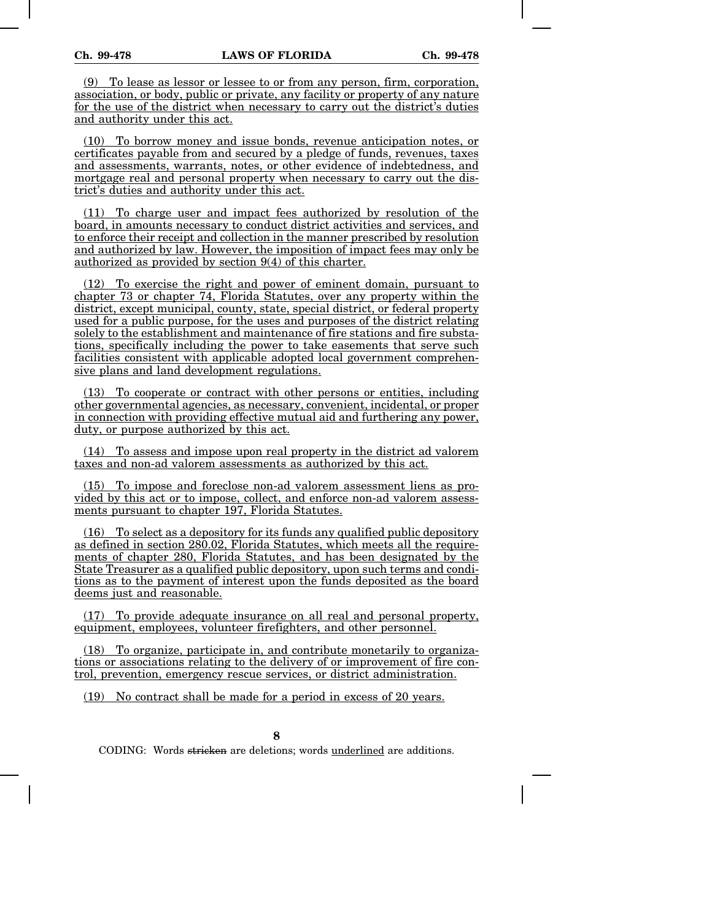To lease as lessor or lessee to or from any person, firm, corporation, association, or body, public or private, any facility or property of any nature for the use of the district when necessary to carry out the district's duties and authority under this act.

(10) To borrow money and issue bonds, revenue anticipation notes, or certificates payable from and secured by a pledge of funds, revenues, taxes and assessments, warrants, notes, or other evidence of indebtedness, and mortgage real and personal property when necessary to carry out the district's duties and authority under this act.

(11) To charge user and impact fees authorized by resolution of the board, in amounts necessary to conduct district activities and services, and to enforce their receipt and collection in the manner prescribed by resolution and authorized by law. However, the imposition of impact fees may only be authorized as provided by section 9(4) of this charter.

(12) To exercise the right and power of eminent domain, pursuant to chapter 73 or chapter 74, Florida Statutes, over any property within the district, except municipal, county, state, special district, or federal property used for a public purpose, for the uses and purposes of the district relating solely to the establishment and maintenance of fire stations and fire substations, specifically including the power to take easements that serve such facilities consistent with applicable adopted local government comprehensive plans and land development regulations.

(13) To cooperate or contract with other persons or entities, including other governmental agencies, as necessary, convenient, incidental, or proper in connection with providing effective mutual aid and furthering any power, duty, or purpose authorized by this act.

(14) To assess and impose upon real property in the district ad valorem taxes and non-ad valorem assessments as authorized by this act.

(15) To impose and foreclose non-ad valorem assessment liens as provided by this act or to impose, collect, and enforce non-ad valorem assessments pursuant to chapter 197, Florida Statutes.

(16) To select as a depository for its funds any qualified public depository as defined in section 280.02, Florida Statutes, which meets all the requirements of chapter 280, Florida Statutes, and has been designated by the State Treasurer as a qualified public depository, upon such terms and conditions as to the payment of interest upon the funds deposited as the board deems just and reasonable.

(17) To provide adequate insurance on all real and personal property, equipment, employees, volunteer firefighters, and other personnel.

(18) To organize, participate in, and contribute monetarily to organizations or associations relating to the delivery of or improvement of fire control, prevention, emergency rescue services, or district administration.

(19) No contract shall be made for a period in excess of 20 years.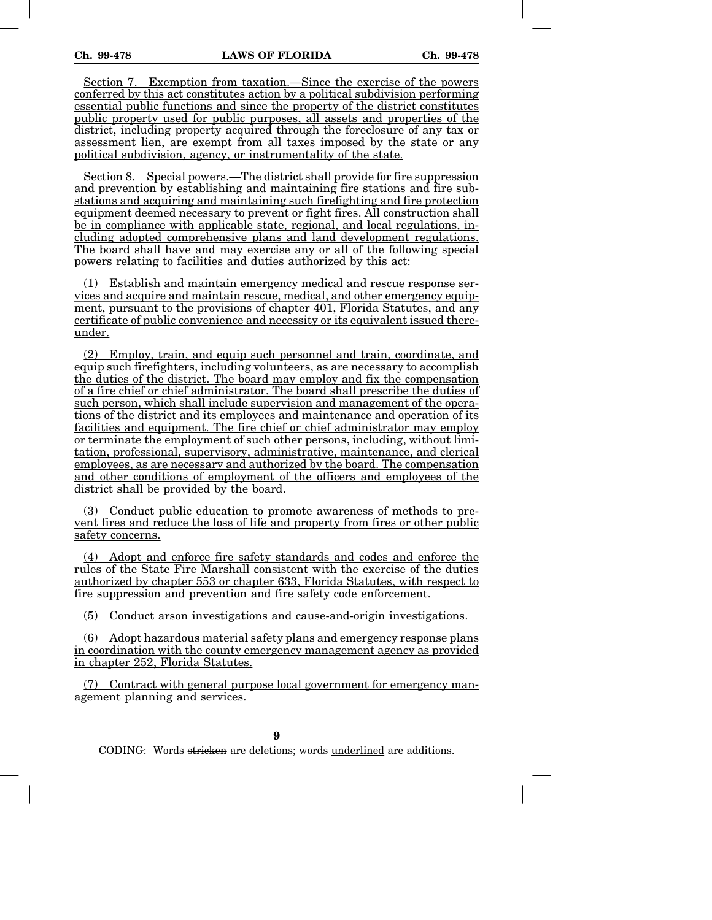Section 7. Exemption from taxation.—Since the exercise of the powers conferred by this act constitutes action by a political subdivision performing essential public functions and since the property of the district constitutes public property used for public purposes, all assets and properties of the district, including property acquired through the foreclosure of any tax or assessment lien, are exempt from all taxes imposed by the state or any political subdivision, agency, or instrumentality of the state.

Section 8. Special powers.—The district shall provide for fire suppression and prevention by establishing and maintaining fire stations and fire substations and acquiring and maintaining such firefighting and fire protection equipment deemed necessary to prevent or fight fires. All construction shall be in compliance with applicable state, regional, and local regulations, including adopted comprehensive plans and land development regulations. The board shall have and may exercise any or all of the following special powers relating to facilities and duties authorized by this act:

(1) Establish and maintain emergency medical and rescue response services and acquire and maintain rescue, medical, and other emergency equipment, pursuant to the provisions of chapter 401, Florida Statutes, and any certificate of public convenience and necessity or its equivalent issued thereunder.

(2) Employ, train, and equip such personnel and train, coordinate, and equip such firefighters, including volunteers, as are necessary to accomplish the duties of the district. The board may employ and fix the compensation of a fire chief or chief administrator. The board shall prescribe the duties of such person, which shall include supervision and management of the operations of the district and its employees and maintenance and operation of its facilities and equipment. The fire chief or chief administrator may employ or terminate the employment of such other persons, including, without limitation, professional, supervisory, administrative, maintenance, and clerical employees, as are necessary and authorized by the board. The compensation and other conditions of employment of the officers and employees of the district shall be provided by the board.

(3) Conduct public education to promote awareness of methods to prevent fires and reduce the loss of life and property from fires or other public safety concerns.

(4) Adopt and enforce fire safety standards and codes and enforce the rules of the State Fire Marshall consistent with the exercise of the duties authorized by chapter 553 or chapter 633, Florida Statutes, with respect to fire suppression and prevention and fire safety code enforcement.

(5) Conduct arson investigations and cause-and-origin investigations.

(6) Adopt hazardous material safety plans and emergency response plans in coordination with the county emergency management agency as provided in chapter 252, Florida Statutes.

(7) Contract with general purpose local government for emergency management planning and services.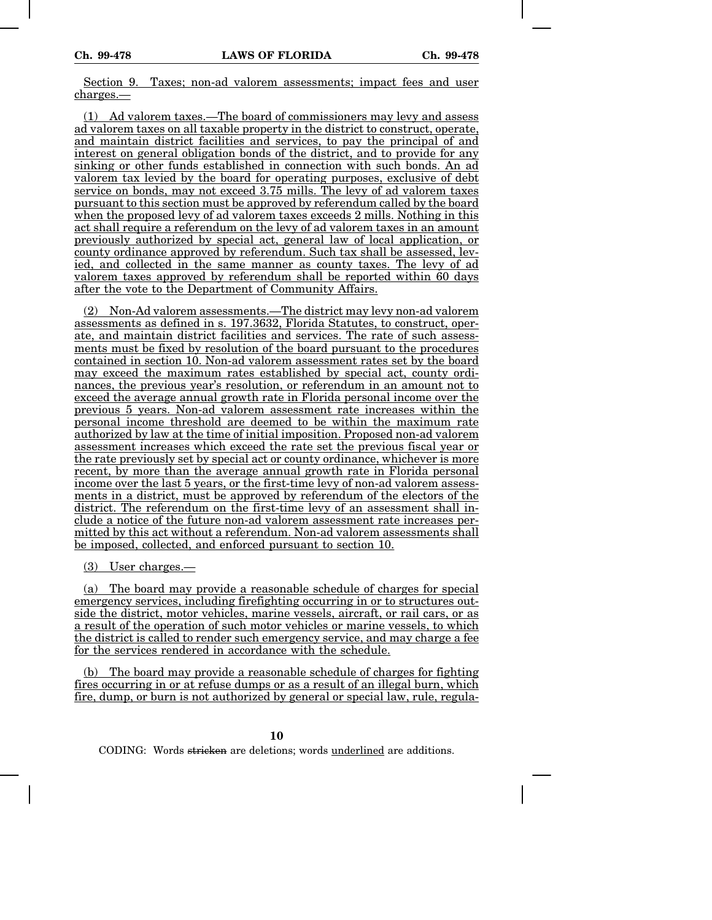Section 9. Taxes; non-ad valorem assessments; impact fees and user charges.—

(1) Ad valorem taxes.—The board of commissioners may levy and assess ad valorem taxes on all taxable property in the district to construct, operate, and maintain district facilities and services, to pay the principal of and interest on general obligation bonds of the district, and to provide for any sinking or other funds established in connection with such bonds. An ad valorem tax levied by the board for operating purposes, exclusive of debt service on bonds, may not exceed 3.75 mills. The levy of ad valorem taxes pursuant to this section must be approved by referendum called by the board when the proposed levy of ad valorem taxes exceeds 2 mills. Nothing in this act shall require a referendum on the levy of ad valorem taxes in an amount previously authorized by special act, general law of local application, or county ordinance approved by referendum. Such tax shall be assessed, levied, and collected in the same manner as county taxes. The levy of ad valorem taxes approved by referendum shall be reported within 60 days after the vote to the Department of Community Affairs.

(2) Non-Ad valorem assessments.—The district may levy non-ad valorem assessments as defined in s. 197.3632, Florida Statutes, to construct, operate, and maintain district facilities and services. The rate of such assessments must be fixed by resolution of the board pursuant to the procedures contained in section 10. Non-ad valorem assessment rates set by the board may exceed the maximum rates established by special act, county ordinances, the previous year's resolution, or referendum in an amount not to exceed the average annual growth rate in Florida personal income over the previous 5 years. Non-ad valorem assessment rate increases within the personal income threshold are deemed to be within the maximum rate authorized by law at the time of initial imposition. Proposed non-ad valorem assessment increases which exceed the rate set the previous fiscal year or the rate previously set by special act or county ordinance, whichever is more recent, by more than the average annual growth rate in Florida personal income over the last 5 years, or the first-time levy of non-ad valorem assessments in a district, must be approved by referendum of the electors of the district. The referendum on the first-time levy of an assessment shall include a notice of the future non-ad valorem assessment rate increases permitted by this act without a referendum. Non-ad valorem assessments shall be imposed, collected, and enforced pursuant to section 10.

(3) User charges.—

(a) The board may provide a reasonable schedule of charges for special emergency services, including firefighting occurring in or to structures outside the district, motor vehicles, marine vessels, aircraft, or rail cars, or as a result of the operation of such motor vehicles or marine vessels, to which the district is called to render such emergency service, and may charge a fee for the services rendered in accordance with the schedule.

(b) The board may provide a reasonable schedule of charges for fighting fires occurring in or at refuse dumps or as a result of an illegal burn, which fire, dump, or burn is not authorized by general or special law, rule, regula-

**10**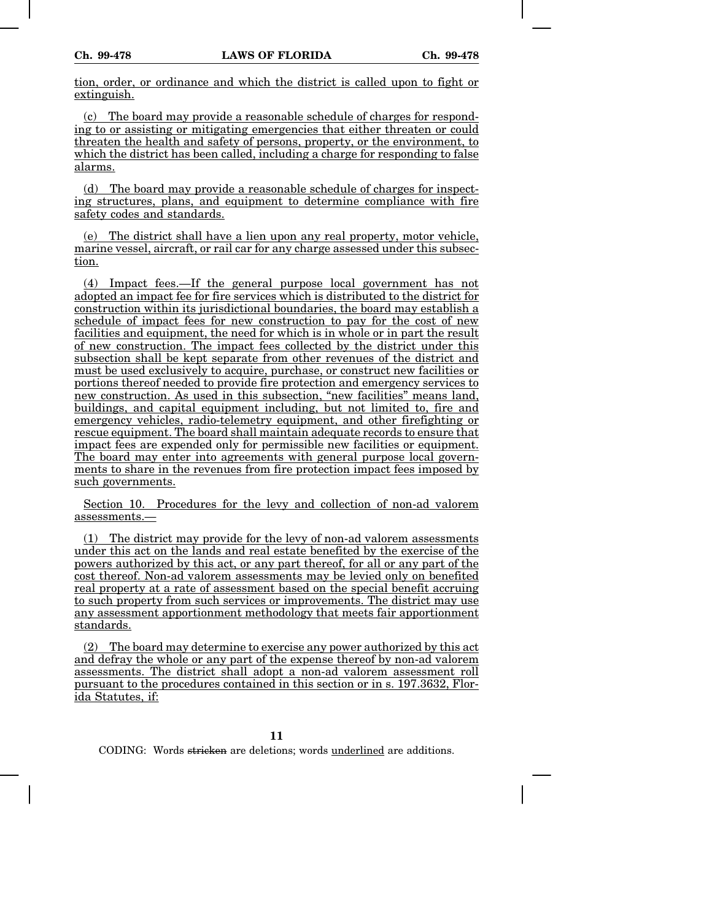tion, order, or ordinance and which the district is called upon to fight or extinguish.

(c) The board may provide a reasonable schedule of charges for responding to or assisting or mitigating emergencies that either threaten or could threaten the health and safety of persons, property, or the environment, to which the district has been called, including a charge for responding to false alarms.

(d) The board may provide a reasonable schedule of charges for inspecting structures, plans, and equipment to determine compliance with fire safety codes and standards.

(e) The district shall have a lien upon any real property, motor vehicle, marine vessel, aircraft, or rail car for any charge assessed under this subsection.

(4) Impact fees.—If the general purpose local government has not adopted an impact fee for fire services which is distributed to the district for construction within its jurisdictional boundaries, the board may establish a schedule of impact fees for new construction to pay for the cost of new facilities and equipment, the need for which is in whole or in part the result of new construction. The impact fees collected by the district under this subsection shall be kept separate from other revenues of the district and must be used exclusively to acquire, purchase, or construct new facilities or portions thereof needed to provide fire protection and emergency services to new construction. As used in this subsection, "new facilities" means land, buildings, and capital equipment including, but not limited to, fire and emergency vehicles, radio-telemetry equipment, and other firefighting or rescue equipment. The board shall maintain adequate records to ensure that impact fees are expended only for permissible new facilities or equipment. The board may enter into agreements with general purpose local governments to share in the revenues from fire protection impact fees imposed by such governments.

Section 10. Procedures for the levy and collection of non-ad valorem assessments.—

(1) The district may provide for the levy of non-ad valorem assessments under this act on the lands and real estate benefited by the exercise of the powers authorized by this act, or any part thereof, for all or any part of the cost thereof. Non-ad valorem assessments may be levied only on benefited real property at a rate of assessment based on the special benefit accruing to such property from such services or improvements. The district may use any assessment apportionment methodology that meets fair apportionment standards.

(2) The board may determine to exercise any power authorized by this act and defray the whole or any part of the expense thereof by non-ad valorem assessments. The district shall adopt a non-ad valorem assessment roll pursuant to the procedures contained in this section or in s. 197.3632, Florida Statutes, if: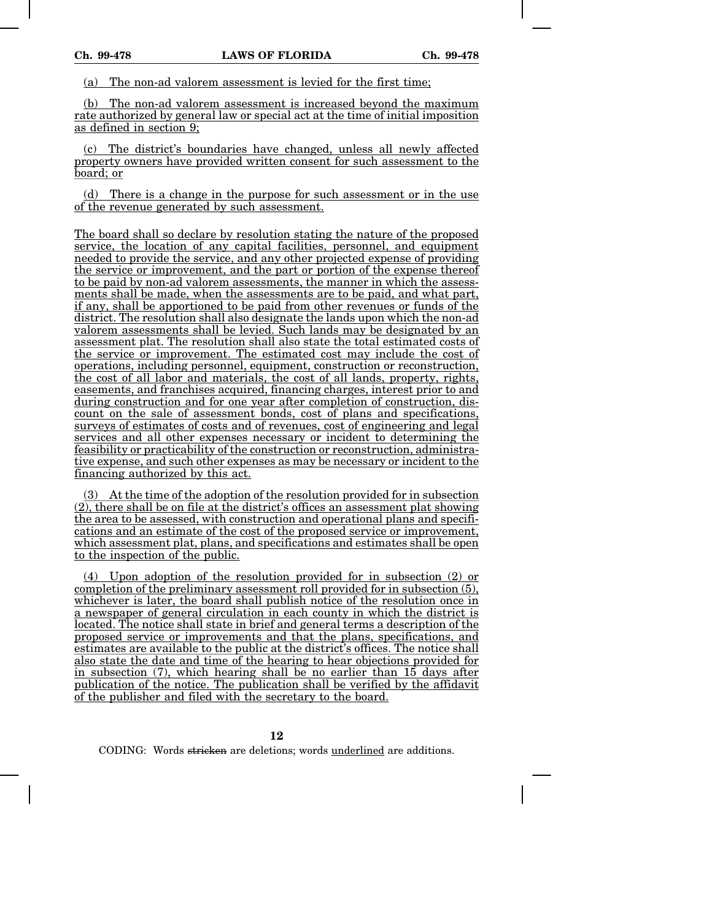(a) The non-ad valorem assessment is levied for the first time;

(b) The non-ad valorem assessment is increased beyond the maximum rate authorized by general law or special act at the time of initial imposition as defined in section 9;

(c) The district's boundaries have changed, unless all newly affected property owners have provided written consent for such assessment to the board; or

(d) There is a change in the purpose for such assessment or in the use of the revenue generated by such assessment.

The board shall so declare by resolution stating the nature of the proposed service, the location of any capital facilities, personnel, and equipment needed to provide the service, and any other projected expense of providing the service or improvement, and the part or portion of the expense thereof to be paid by non-ad valorem assessments, the manner in which the assessments shall be made, when the assessments are to be paid, and what part, if any, shall be apportioned to be paid from other revenues or funds of the district. The resolution shall also designate the lands upon which the non-ad valorem assessments shall be levied. Such lands may be designated by an assessment plat. The resolution shall also state the total estimated costs of the service or improvement. The estimated cost may include the cost of operations, including personnel, equipment, construction or reconstruction, the cost of all labor and materials, the cost of all lands, property, rights, easements, and franchises acquired, financing charges, interest prior to and during construction and for one year after completion of construction, discount on the sale of assessment bonds, cost of plans and specifications, surveys of estimates of costs and of revenues, cost of engineering and legal services and all other expenses necessary or incident to determining the feasibility or practicability of the construction or reconstruction, administrative expense, and such other expenses as may be necessary or incident to the financing authorized by this act.

(3) At the time of the adoption of the resolution provided for in subsection  $(2)$ , there shall be on file at the district's offices an assessment plat showing the area to be assessed, with construction and operational plans and specifications and an estimate of the cost of the proposed service or improvement, which assessment plat, plans, and specifications and estimates shall be open to the inspection of the public.

(4) Upon adoption of the resolution provided for in subsection (2) or completion of the preliminary assessment roll provided for in subsection (5), whichever is later, the board shall publish notice of the resolution once in a newspaper of general circulation in each county in which the district is located. The notice shall state in brief and general terms a description of the proposed service or improvements and that the plans, specifications, and estimates are available to the public at the district's offices. The notice shall also state the date and time of the hearing to hear objections provided for in subsection (7), which hearing shall be no earlier than 15 days after publication of the notice. The publication shall be verified by the affidavit of the publisher and filed with the secretary to the board.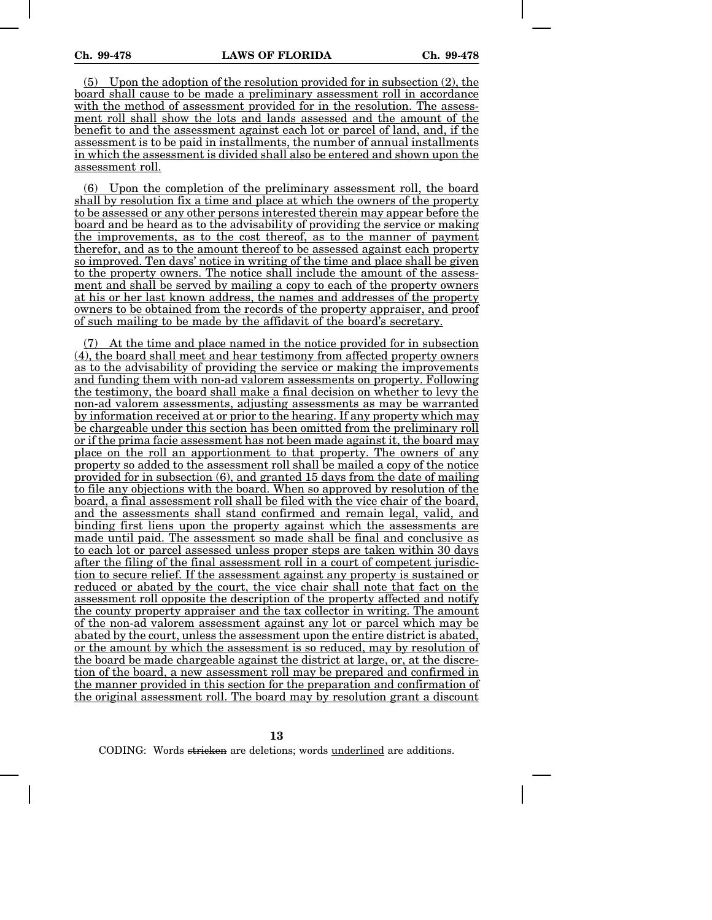(5) Upon the adoption of the resolution provided for in subsection (2), the board shall cause to be made a preliminary assessment roll in accordance with the method of assessment provided for in the resolution. The assessment roll shall show the lots and lands assessed and the amount of the benefit to and the assessment against each lot or parcel of land, and, if the assessment is to be paid in installments, the number of annual installments in which the assessment is divided shall also be entered and shown upon the assessment roll.

(6) Upon the completion of the preliminary assessment roll, the board shall by resolution fix a time and place at which the owners of the property to be assessed or any other persons interested therein may appear before the board and be heard as to the advisability of providing the service or making the improvements, as to the cost thereof, as to the manner of payment therefor, and as to the amount thereof to be assessed against each property so improved. Ten days' notice in writing of the time and place shall be given to the property owners. The notice shall include the amount of the assessment and shall be served by mailing a copy to each of the property owners at his or her last known address, the names and addresses of the property owners to be obtained from the records of the property appraiser, and proof of such mailing to be made by the affidavit of the board's secretary.

At the time and place named in the notice provided for in subsection (4), the board shall meet and hear testimony from affected property owners as to the advisability of providing the service or making the improvements and funding them with non-ad valorem assessments on property. Following the testimony, the board shall make a final decision on whether to levy the non-ad valorem assessments, adjusting assessments as may be warranted by information received at or prior to the hearing. If any property which may be chargeable under this section has been omitted from the preliminary roll or if the prima facie assessment has not been made against it, the board may place on the roll an apportionment to that property. The owners of any property so added to the assessment roll shall be mailed a copy of the notice provided for in subsection (6), and granted 15 days from the date of mailing to file any objections with the board. When so approved by resolution of the board, a final assessment roll shall be filed with the vice chair of the board, and the assessments shall stand confirmed and remain legal, valid, and binding first liens upon the property against which the assessments are made until paid. The assessment so made shall be final and conclusive as to each lot or parcel assessed unless proper steps are taken within 30 days after the filing of the final assessment roll in a court of competent jurisdiction to secure relief. If the assessment against any property is sustained or reduced or abated by the court, the vice chair shall note that fact on the assessment roll opposite the description of the property affected and notify the county property appraiser and the tax collector in writing. The amount of the non-ad valorem assessment against any lot or parcel which may be abated by the court, unless the assessment upon the entire district is abated, or the amount by which the assessment is so reduced, may by resolution of the board be made chargeable against the district at large, or, at the discretion of the board, a new assessment roll may be prepared and confirmed in the manner provided in this section for the preparation and confirmation of the original assessment roll. The board may by resolution grant a discount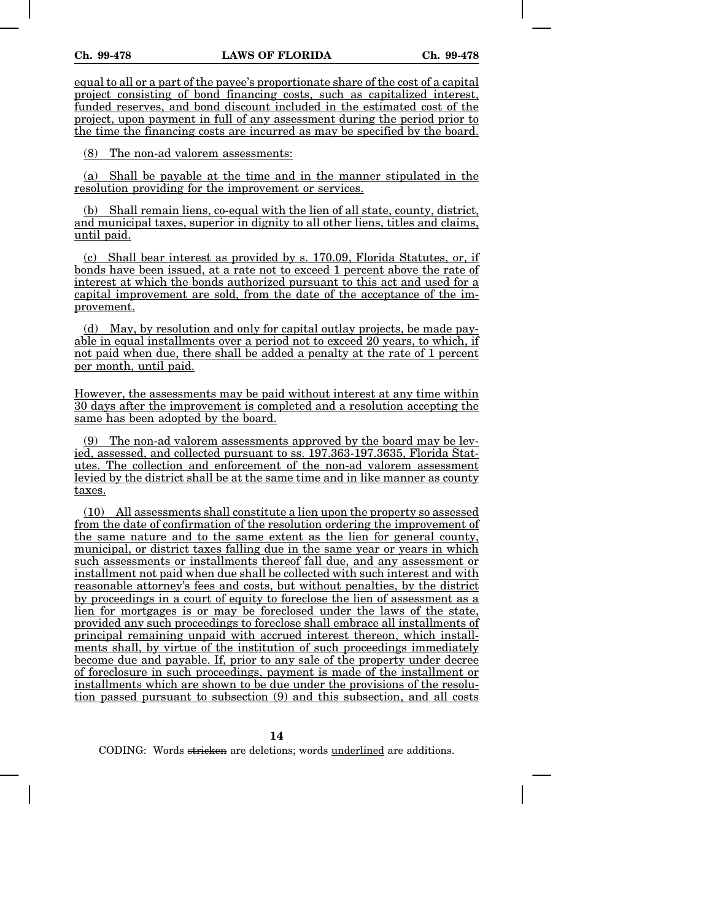equal to all or a part of the payee's proportionate share of the cost of a capital project consisting of bond financing costs, such as capitalized interest, funded reserves, and bond discount included in the estimated cost of the project, upon payment in full of any assessment during the period prior to the time the financing costs are incurred as may be specified by the board.

(8) The non-ad valorem assessments:

(a) Shall be payable at the time and in the manner stipulated in the resolution providing for the improvement or services.

(b) Shall remain liens, co-equal with the lien of all state, county, district, and municipal taxes, superior in dignity to all other liens, titles and claims, until paid.

(c) Shall bear interest as provided by s. 170.09, Florida Statutes, or, if bonds have been issued, at a rate not to exceed 1 percent above the rate of interest at which the bonds authorized pursuant to this act and used for a capital improvement are sold, from the date of the acceptance of the improvement.

(d) May, by resolution and only for capital outlay projects, be made payable in equal installments over a period not to exceed 20 years, to which, if not paid when due, there shall be added a penalty at the rate of 1 percent per month, until paid.

However, the assessments may be paid without interest at any time within 30 days after the improvement is completed and a resolution accepting the same has been adopted by the board.

(9) The non-ad valorem assessments approved by the board may be levied, assessed, and collected pursuant to ss. 197.363-197.3635, Florida Statutes. The collection and enforcement of the non-ad valorem assessment levied by the district shall be at the same time and in like manner as county taxes.

(10) All assessments shall constitute a lien upon the property so assessed from the date of confirmation of the resolution ordering the improvement of the same nature and to the same extent as the lien for general county, municipal, or district taxes falling due in the same year or years in which such assessments or installments thereof fall due, and any assessment or installment not paid when due shall be collected with such interest and with reasonable attorney's fees and costs, but without penalties, by the district by proceedings in a court of equity to foreclose the lien of assessment as a lien for mortgages is or may be foreclosed under the laws of the state, provided any such proceedings to foreclose shall embrace all installments of principal remaining unpaid with accrued interest thereon, which installments shall, by virtue of the institution of such proceedings immediately become due and payable. If, prior to any sale of the property under decree of foreclosure in such proceedings, payment is made of the installment or installments which are shown to be due under the provisions of the resolution passed pursuant to subsection (9) and this subsection, and all costs

**14**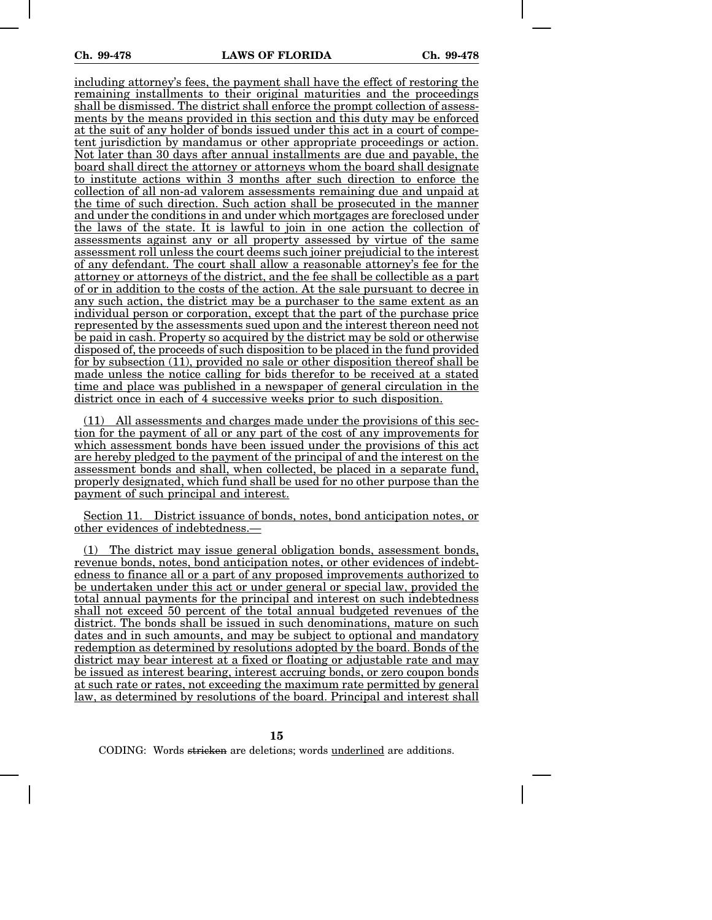including attorney's fees, the payment shall have the effect of restoring the remaining installments to their original maturities and the proceedings shall be dismissed. The district shall enforce the prompt collection of assessments by the means provided in this section and this duty may be enforced at the suit of any holder of bonds issued under this act in a court of competent jurisdiction by mandamus or other appropriate proceedings or action. Not later than 30 days after annual installments are due and payable, the board shall direct the attorney or attorneys whom the board shall designate to institute actions within 3 months after such direction to enforce the collection of all non-ad valorem assessments remaining due and unpaid at the time of such direction. Such action shall be prosecuted in the manner and under the conditions in and under which mortgages are foreclosed under the laws of the state. It is lawful to join in one action the collection of assessments against any or all property assessed by virtue of the same assessment roll unless the court deems such joiner prejudicial to the interest of any defendant. The court shall allow a reasonable attorney's fee for the attorney or attorneys of the district, and the fee shall be collectible as a part of or in addition to the costs of the action. At the sale pursuant to decree in any such action, the district may be a purchaser to the same extent as an individual person or corporation, except that the part of the purchase price represented by the assessments sued upon and the interest thereon need not be paid in cash. Property so acquired by the district may be sold or otherwise disposed of, the proceeds of such disposition to be placed in the fund provided for by subsection (11), provided no sale or other disposition thereof shall be made unless the notice calling for bids therefor to be received at a stated time and place was published in a newspaper of general circulation in the district once in each of 4 successive weeks prior to such disposition.

(11) All assessments and charges made under the provisions of this section for the payment of all or any part of the cost of any improvements for which assessment bonds have been issued under the provisions of this act are hereby pledged to the payment of the principal of and the interest on the assessment bonds and shall, when collected, be placed in a separate fund, properly designated, which fund shall be used for no other purpose than the payment of such principal and interest.

Section 11. District issuance of bonds, notes, bond anticipation notes, or other evidences of indebtedness.—

(1) The district may issue general obligation bonds, assessment bonds, revenue bonds, notes, bond anticipation notes, or other evidences of indebtedness to finance all or a part of any proposed improvements authorized to be undertaken under this act or under general or special law, provided the total annual payments for the principal and interest on such indebtedness shall not exceed 50 percent of the total annual budgeted revenues of the district. The bonds shall be issued in such denominations, mature on such dates and in such amounts, and may be subject to optional and mandatory redemption as determined by resolutions adopted by the board. Bonds of the district may bear interest at a fixed or floating or adjustable rate and may be issued as interest bearing, interest accruing bonds, or zero coupon bonds at such rate or rates, not exceeding the maximum rate permitted by general law, as determined by resolutions of the board. Principal and interest shall

**15**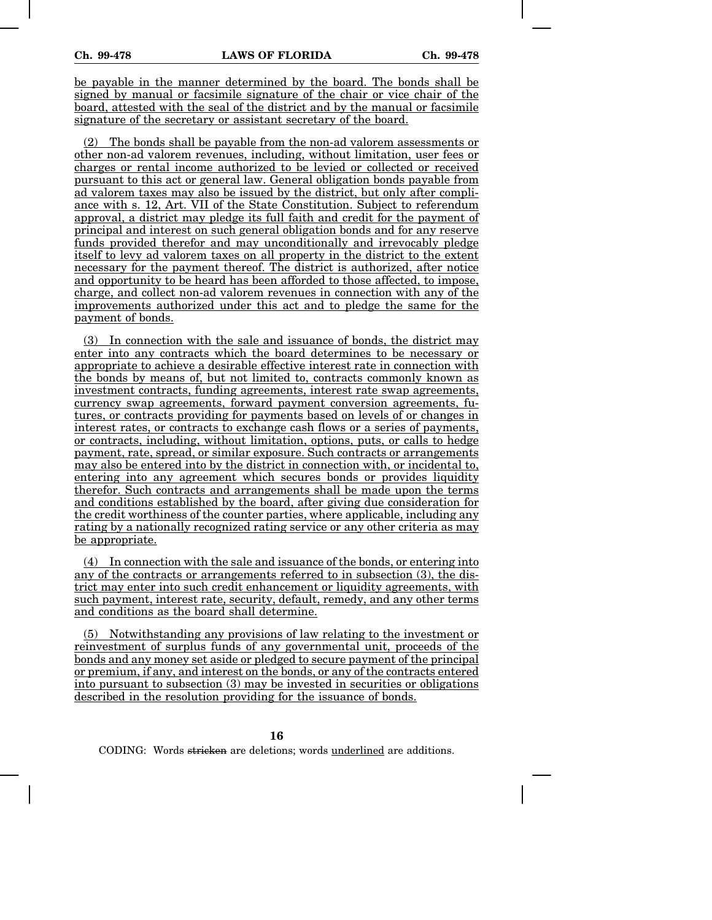be payable in the manner determined by the board. The bonds shall be signed by manual or facsimile signature of the chair or vice chair of the board, attested with the seal of the district and by the manual or facsimile signature of the secretary or assistant secretary of the board.

(2) The bonds shall be payable from the non-ad valorem assessments or other non-ad valorem revenues, including, without limitation, user fees or charges or rental income authorized to be levied or collected or received pursuant to this act or general law. General obligation bonds payable from ad valorem taxes may also be issued by the district, but only after compliance with s. 12, Art. VII of the State Constitution. Subject to referendum approval, a district may pledge its full faith and credit for the payment of principal and interest on such general obligation bonds and for any reserve funds provided therefor and may unconditionally and irrevocably pledge itself to levy ad valorem taxes on all property in the district to the extent necessary for the payment thereof. The district is authorized, after notice and opportunity to be heard has been afforded to those affected, to impose, charge, and collect non-ad valorem revenues in connection with any of the improvements authorized under this act and to pledge the same for the payment of bonds.

(3) In connection with the sale and issuance of bonds, the district may enter into any contracts which the board determines to be necessary or appropriate to achieve a desirable effective interest rate in connection with the bonds by means of, but not limited to, contracts commonly known as investment contracts, funding agreements, interest rate swap agreements, currency swap agreements, forward payment conversion agreements, futures, or contracts providing for payments based on levels of or changes in interest rates, or contracts to exchange cash flows or a series of payments, or contracts, including, without limitation, options, puts, or calls to hedge payment, rate, spread, or similar exposure. Such contracts or arrangements may also be entered into by the district in connection with, or incidental to, entering into any agreement which secures bonds or provides liquidity therefor. Such contracts and arrangements shall be made upon the terms and conditions established by the board, after giving due consideration for the credit worthiness of the counter parties, where applicable, including any rating by a nationally recognized rating service or any other criteria as may be appropriate.

(4) In connection with the sale and issuance of the bonds, or entering into any of the contracts or arrangements referred to in subsection (3), the district may enter into such credit enhancement or liquidity agreements, with such payment, interest rate, security, default, remedy, and any other terms and conditions as the board shall determine.

(5) Notwithstanding any provisions of law relating to the investment or reinvestment of surplus funds of any governmental unit, proceeds of the bonds and any money set aside or pledged to secure payment of the principal or premium, if any, and interest on the bonds, or any of the contracts entered into pursuant to subsection (3) may be invested in securities or obligations described in the resolution providing for the issuance of bonds.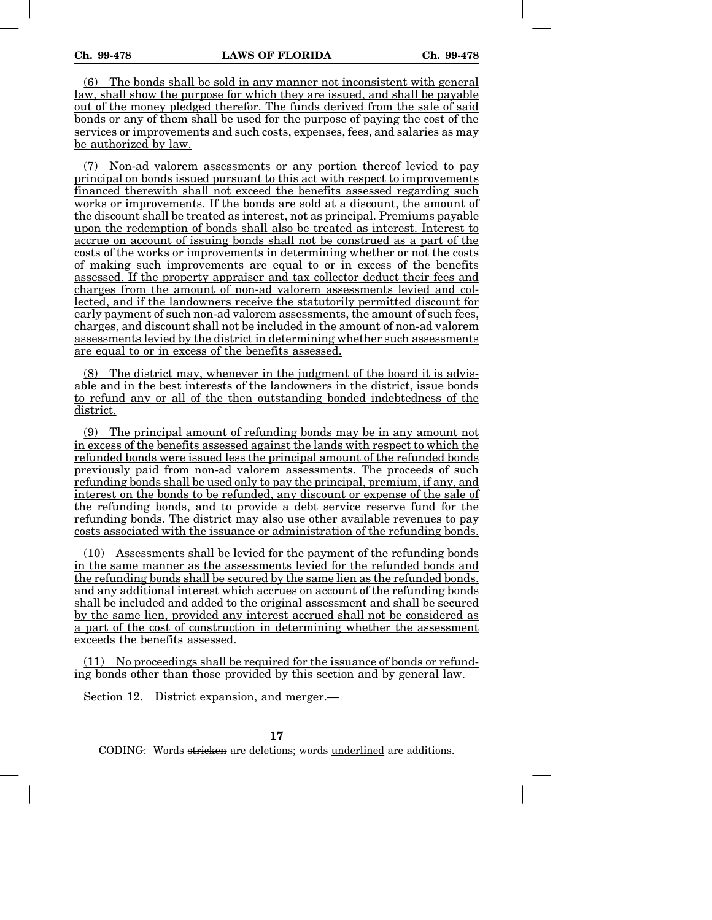(6) The bonds shall be sold in any manner not inconsistent with general law, shall show the purpose for which they are issued, and shall be payable out of the money pledged therefor. The funds derived from the sale of said bonds or any of them shall be used for the purpose of paying the cost of the services or improvements and such costs, expenses, fees, and salaries as may be authorized by law.

(7) Non-ad valorem assessments or any portion thereof levied to pay principal on bonds issued pursuant to this act with respect to improvements financed therewith shall not exceed the benefits assessed regarding such works or improvements. If the bonds are sold at a discount, the amount of the discount shall be treated as interest, not as principal. Premiums payable upon the redemption of bonds shall also be treated as interest. Interest to accrue on account of issuing bonds shall not be construed as a part of the costs of the works or improvements in determining whether or not the costs of making such improvements are equal to or in excess of the benefits assessed. If the property appraiser and tax collector deduct their fees and charges from the amount of non-ad valorem assessments levied and collected, and if the landowners receive the statutorily permitted discount for early payment of such non-ad valorem assessments, the amount of such fees, charges, and discount shall not be included in the amount of non-ad valorem assessments levied by the district in determining whether such assessments are equal to or in excess of the benefits assessed.

(8) The district may, whenever in the judgment of the board it is advisable and in the best interests of the landowners in the district, issue bonds to refund any or all of the then outstanding bonded indebtedness of the district.

(9) The principal amount of refunding bonds may be in any amount not in excess of the benefits assessed against the lands with respect to which the refunded bonds were issued less the principal amount of the refunded bonds previously paid from non-ad valorem assessments. The proceeds of such refunding bonds shall be used only to pay the principal, premium, if any, and interest on the bonds to be refunded, any discount or expense of the sale of the refunding bonds, and to provide a debt service reserve fund for the refunding bonds. The district may also use other available revenues to pay costs associated with the issuance or administration of the refunding bonds.

(10) Assessments shall be levied for the payment of the refunding bonds in the same manner as the assessments levied for the refunded bonds and the refunding bonds shall be secured by the same lien as the refunded bonds, and any additional interest which accrues on account of the refunding bonds shall be included and added to the original assessment and shall be secured by the same lien, provided any interest accrued shall not be considered as a part of the cost of construction in determining whether the assessment exceeds the benefits assessed.

(11) No proceedings shall be required for the issuance of bonds or refunding bonds other than those provided by this section and by general law.

Section 12. District expansion, and merger.—

**17**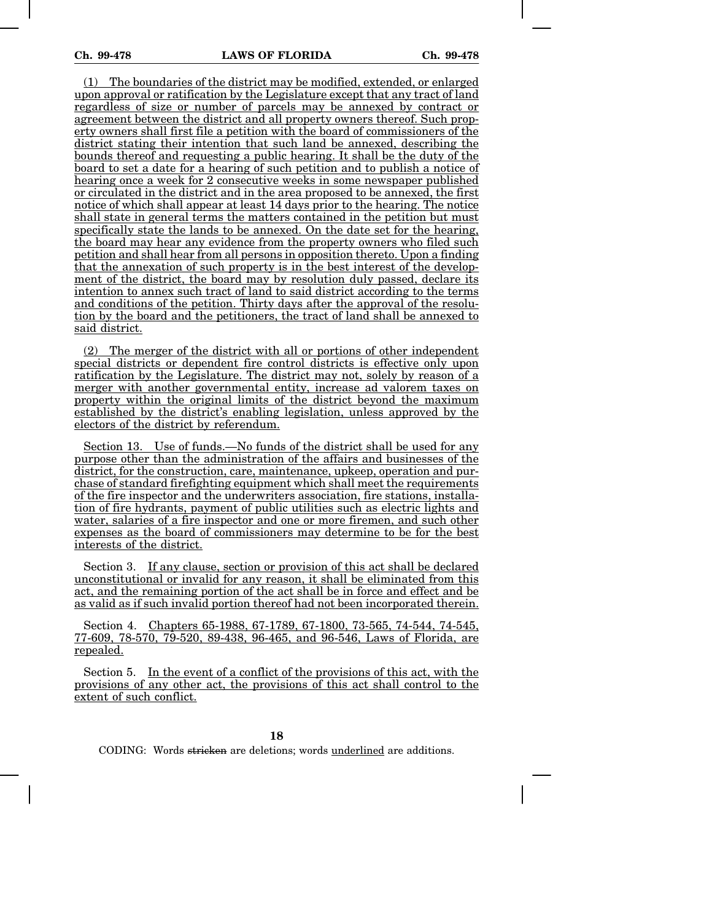(1) The boundaries of the district may be modified, extended, or enlarged upon approval or ratification by the Legislature except that any tract of land regardless of size or number of parcels may be annexed by contract or agreement between the district and all property owners thereof. Such property owners shall first file a petition with the board of commissioners of the district stating their intention that such land be annexed, describing the bounds thereof and requesting a public hearing. It shall be the duty of the board to set a date for a hearing of such petition and to publish a notice of hearing once a week for 2 consecutive weeks in some newspaper published or circulated in the district and in the area proposed to be annexed, the first notice of which shall appear at least 14 days prior to the hearing. The notice shall state in general terms the matters contained in the petition but must specifically state the lands to be annexed. On the date set for the hearing, the board may hear any evidence from the property owners who filed such petition and shall hear from all persons in opposition thereto. Upon a finding that the annexation of such property is in the best interest of the development of the district, the board may by resolution duly passed, declare its intention to annex such tract of land to said district according to the terms and conditions of the petition. Thirty days after the approval of the resolution by the board and the petitioners, the tract of land shall be annexed to said district.

(2) The merger of the district with all or portions of other independent special districts or dependent fire control districts is effective only upon ratification by the Legislature. The district may not, solely by reason of a merger with another governmental entity, increase ad valorem taxes on property within the original limits of the district beyond the maximum established by the district's enabling legislation, unless approved by the electors of the district by referendum.

Section 13. Use of funds.—No funds of the district shall be used for any purpose other than the administration of the affairs and businesses of the district, for the construction, care, maintenance, upkeep, operation and purchase of standard firefighting equipment which shall meet the requirements of the fire inspector and the underwriters association, fire stations, installation of fire hydrants, payment of public utilities such as electric lights and water, salaries of a fire inspector and one or more firemen, and such other expenses as the board of commissioners may determine to be for the best interests of the district.

Section 3. If any clause, section or provision of this act shall be declared unconstitutional or invalid for any reason, it shall be eliminated from this act, and the remaining portion of the act shall be in force and effect and be as valid as if such invalid portion thereof had not been incorporated therein.

Section 4. Chapters 65-1988, 67-1789, 67-1800, 73-565, 74-544, 74-545, 77-609, 78-570, 79-520, 89-438, 96-465, and 96-546, Laws of Florida, are repealed.

Section 5. In the event of a conflict of the provisions of this act, with the provisions of any other act, the provisions of this act shall control to the extent of such conflict.